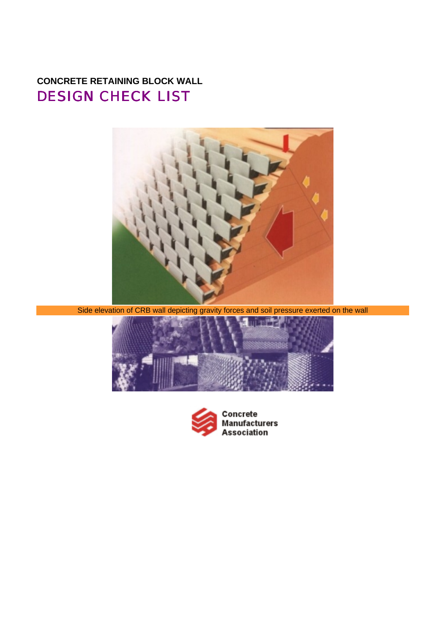# **CONCRETE RETAINING BLOCK WALL** DESIGN CHECK LIST



Side elevation of CRB wall depicting gravity forces and soil pressure exerted on the wall



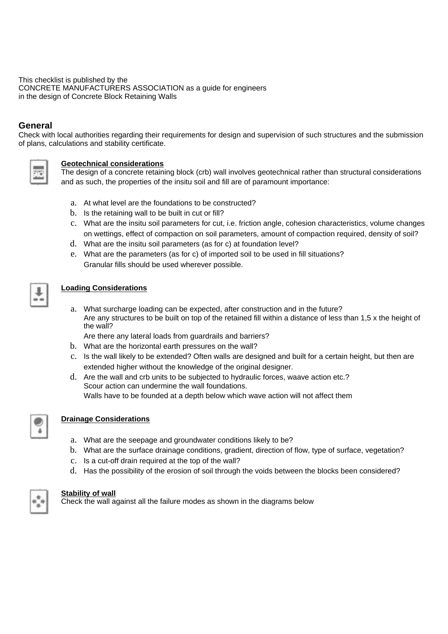This checklist is published by the CONCRETE MANUFACTURERS ASSOCIATION as a guide for engineers in the design of Concrete Block Retaining Walls

## **General**

Check with local authorities regarding their requirements for design and supervision of such structures and the submission of plans, calculations and stability certificate.



#### **Geotechnical considerations**

The design of a concrete retaining block (crb) wall involves geotechnical rather than structural considerations and as such, the properties of the insitu soil and fill are of paramount importance:

- a. At what level are the foundations to be constructed?
- b. Is the retaining wall to be built in cut or fill?
- c. What are the insitu soil parameters for cut, i.e. friction angle, cohesion characteristics, volume changes on wettings, effect of compaction on soil parameters, amount of compaction required, density of soil?
- d. What are the insitu soil parameters (as for c) at foundation level?
- e. What are the parameters (as for c) of imported soil to be used in fill situations? Granular fills should be used wherever possible.

#### **Loading Considerations**

a. What surcharge loading can be expected, after construction and in the future? Are any structures to be built on top of the retained fill within a distance of less than 1,5 x the height of the wall?

Are there any lateral loads from guardrails and barriers?

- b. What are the horizontal earth pressures on the wall?
- c. Is the wall likely to be extended? Often walls are designed and built for a certain height, but then are extended higher without the knowledge of the original designer.
- d. Are the wall and crb units to be subjected to hydraulic forces, waave action etc.? Scour action can undermine the wall foundations. Walls have to be founded at a depth below which wave action will not affect them



#### **Drainage Considerations**

- a. What are the seepage and groundwater conditions likely to be?
- b. What are the surface drainage conditions, gradient, direction of flow, type of surface, vegetation?
- c. Is a cut-off drain required at the top of the wall?
- d. Has the possibility of the erosion of soil through the voids between the blocks been considered?



#### **Stability of wall**

Check the wall against all the failure modes as shown in the diagrams below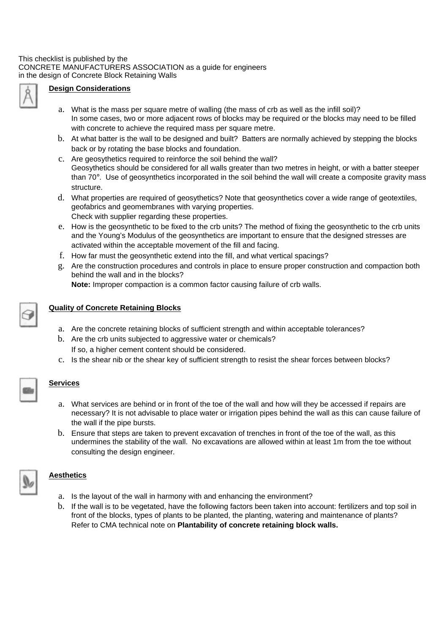

#### **Design Considerations**

- a. What is the mass per square metre of walling (the mass of crb as well as the infill soil)? In some cases, two or more adjacent rows of blocks may be required or the blocks may need to be filled with concrete to achieve the required mass per square metre.
- b. At what batter is the wall to be designed and built? Batters are normally achieved by stepping the blocks back or by rotating the base blocks and foundation.
- c. Are geosythetics required to reinforce the soil behind the wall? Geosythetics should be considered for all walls greater than two metres in height, or with a batter steeper than 70°. Use of geosynthetics incorporated in the soil behind the wall will create a composite gravity mass structure.
- d. What properties are required of geosythetics? Note that geosynthetics cover a wide range of geotextiles, geofabrics and geomembranes with varying properties. Check with supplier regarding these properties.
- e. How is the geosynthetic to be fixed to the crb units? The method of fixing the geosynthetic to the crb units and the Young's Modulus of the geosynthetics are important to ensure that the designed stresses are activated within the acceptable movement of the fill and facing.
- f. How far must the geosynthetic extend into the fill, and what vertical spacings?
- g. Are the construction procedures and controls in place to ensure proper construction and compaction both behind the wall and in the blocks?

**Note:** Improper compaction is a common factor causing failure of crb walls.

# **Quality of Concrete Retaining Blocks**

- a. Are the concrete retaining blocks of sufficient strength and within acceptable tolerances?
- b. Are the crb units subjected to aggressive water or chemicals? If so, a higher cement content should be considered.
- c. Is the shear nib or the shear key of sufficient strength to resist the shear forces between blocks?

#### **Services**

**Aesthetics**

- a. What services are behind or in front of the toe of the wall and how will they be accessed if repairs are necessary? It is not advisable to place water or irrigation pipes behind the wall as this can cause failure of the wall if the pipe bursts.
- b. Ensure that steps are taken to prevent excavation of trenches in front of the toe of the wall, as this undermines the stability of the wall. No excavations are allowed within at least 1m from the toe without consulting the design engineer.

- a. Is the layout of the wall in harmony with and enhancing the environment?
- b. If the wall is to be vegetated, have the following factors been taken into account: fertilizers and top soil in front of the blocks, types of plants to be planted, the planting, watering and maintenance of plants? Refer to CMA technical note on **Plantability of concrete retaining block walls.**

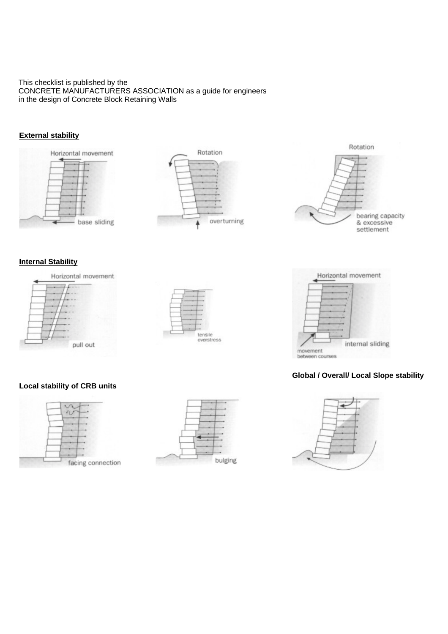#### This checklist is published by the CONCRETE MANUFACTURERS ASSOCIATION as a guide for engineers in the design of Concrete Block Retaining Walls

#### **External stability**







# Horizontal movement internal sliding movement between courses

## **Global / Overall/ Local Slope stability**



#### **Internal Stability**